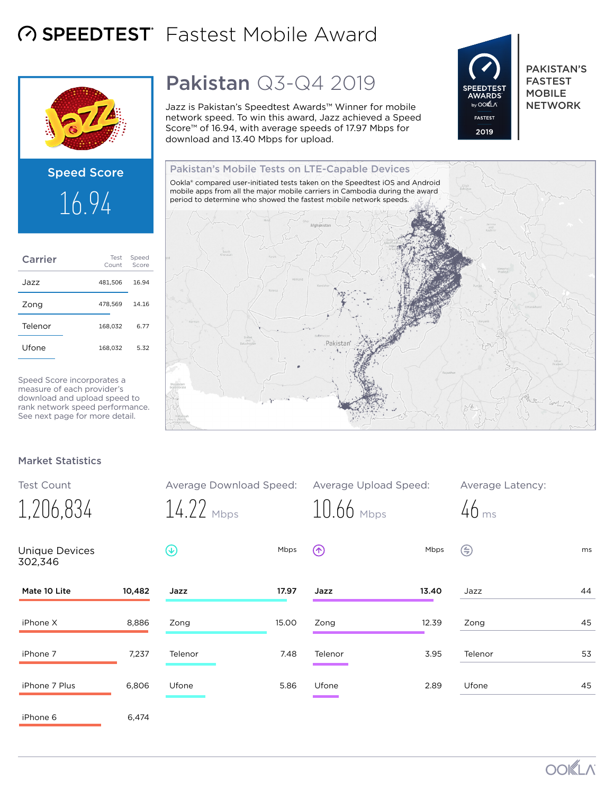## **A SPEEDTEST** Fastest Mobile Award



# Speed Score 16.94

| Carrier | Test<br>Count | Speed<br>Score |
|---------|---------------|----------------|
| Jazz    | 481,506       | 16.94          |
| Zong    | 478.569       | 14.16          |
| Telenor | 168.032       | 6.77           |
| Ufone   | 168.032       | 5.32           |
|         |               |                |

Speed Score incorporates a measure of each provider's download and upload speed to rank network speed performance. See next page for more detail.

## Pakistan Q3-Q4 2019

Jazz is Pakistan's Speedtest Awards™ Winner for mobile network speed. To win this award, Jazz achieved a Speed Score™ of 16.94, with average speeds of 17.97 Mbps for download and 13.40 Mbps for upload.



PAKISTAN'S FASTEST MOBILE **NETWORK** 

Pakistan's Mobile Tests on LTE-Capable Devices Ookla® compared user-initiated tests taken on the Speedtest iOS and Android mobile apps from all the major mobile carriers in Cambodia during the award period to determine who showed the fastest mobile network speeds. Pakistan<sup>®</sup>

#### Market Statistics

| <b>Test Count</b>                |        | Average Download Speed: |       | Average Upload Speed: |       | Average Latency:   |    |
|----------------------------------|--------|-------------------------|-------|-----------------------|-------|--------------------|----|
| 1,206,834                        |        | $14.22$ Mbps            |       | $10.66$ Mbps          |       | $46$ <sub>ms</sub> |    |
| <b>Unique Devices</b><br>302,346 |        | $(\downarrow)$          | Mbps  | $\circledR$           | Mbps  | ⊜                  | ms |
| Mate 10 Lite                     | 10,482 | Jazz                    | 17.97 | Jazz                  | 13.40 | Jazz               | 44 |
| iPhone X                         | 8,886  | Zong                    | 15.00 | Zong                  | 12.39 | Zong               | 45 |
| iPhone 7                         | 7,237  | Telenor                 | 7.48  | Telenor               | 3.95  | Telenor            | 53 |
| iPhone 7 Plus                    | 6,806  | Ufone                   | 5.86  | Ufone                 | 2.89  | Ufone              | 45 |
| iPhone 6                         | 6,474  |                         |       |                       |       |                    |    |